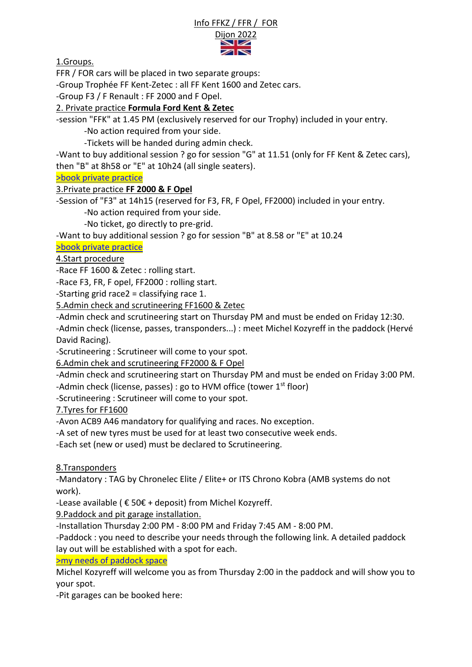#### Info FFKZ / FFR / FOR



1.Groups.

FFR / FOR cars will be placed in two separate groups:

-Group Trophée FF Kent-Zetec : all FF Kent 1600 and Zetec cars.

-Group F3 / F Renault : FF 2000 and F Opel.

## 2. Private practice **Formula Ford Kent & Zetec**

-session "FFK" at 1.45 PM (exclusively reserved for our Trophy) included in your entry.

-No action required from your side.

-Tickets will be handed during admin check.

-Want to buy additional session ? go for session "G" at 11.51 (only for FF Kent & Zetec cars), then "B" at 8h58 or "E" at 10h24 (all single seaters).

[>book private practice](https://www.hvmracing.fr/produit/3-22-reservation-essais-prives-booking-testings-historic-tour-dijon-2022-ref-70600043s1/)

### 3.Private practice **FF 2000 & F Opel**

-Session of "F3" at 14h15 (reserved for F3, FR, F Opel, FF2000) included in your entry.

-No action required from your side.

-No ticket, go directly to pre-grid.

-Want to buy additional session ? go for session "B" at 8.58 or "E" at 10.24

### [>book private practice](https://www.hvmracing.fr/produit/3-22-reservation-essais-prives-booking-testings-historic-tour-dijon-2022-ref-70600043s1/)

# 4.Start procedure

-Race FF 1600 & Zetec : rolling start.

-Race F3, FR, F opel, FF2000 : rolling start.

-Starting grid race2 = classifying race 1.

5.Admin check and scrutineering FF1600 & Zetec

-Admin check and scrutineering start on Thursday PM and must be ended on Friday 12:30. -Admin check (license, passes, transponders...) : meet Michel Kozyreff in the paddock (Hervé

David Racing).

-Scrutineering : Scrutineer will come to your spot.

6.Admin chek and scrutineering FF2000 & F Opel

-Admin check and scrutineering start on Thursday PM and must be ended on Friday 3:00 PM.

-Admin check (license, passes) : go to HVM office (tower  $1<sup>st</sup>$  floor)

-Scrutineering : Scrutineer will come to your spot.

7.Tyres for FF1600

-Avon ACB9 A46 mandatory for qualifying and races. No exception.

-A set of new tyres must be used for at least two consecutive week ends.

-Each set (new or used) must be declared to Scrutineering.

8.Transponders

-Mandatory : TAG by Chronelec Elite / Elite+ or ITS Chrono Kobra (AMB systems do not work).

-Lease available ( $\epsilon$  50 $\epsilon$  + deposit) from Michel Kozyreff.

9.Paddock and pit garage installation.

-Installation Thursday 2:00 PM - 8:00 PM and Friday 7:45 AM - 8:00 PM.

-Paddock : you need to describe your needs through the following link. A detailed paddock lay out will be established with a spot for each.

[>my needs of paddock space](https://www.formulaford1600.fr/contact/installation-paddock.html)

Michel Kozyreff will welcome you as from Thursday 2:00 in the paddock and will show you to your spot.

-Pit garages can be booked here: